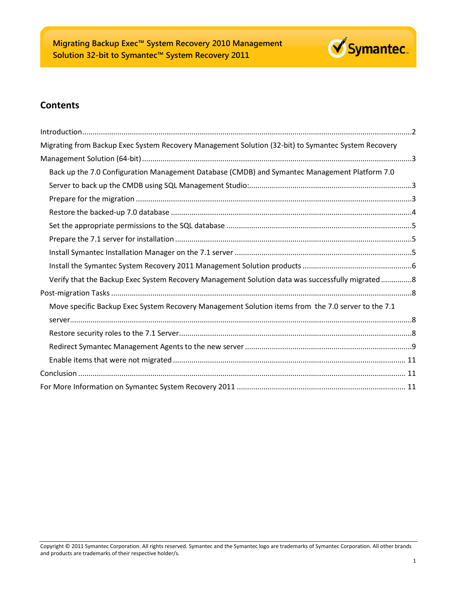

## **Contents**

| Migrating from Backup Exec System Recovery Management Solution (32-bit) to Symantec System Recovery |  |
|-----------------------------------------------------------------------------------------------------|--|
|                                                                                                     |  |
| Back up the 7.0 Configuration Management Database (CMDB) and Symantec Management Platform 7.0       |  |
|                                                                                                     |  |
|                                                                                                     |  |
|                                                                                                     |  |
|                                                                                                     |  |
|                                                                                                     |  |
|                                                                                                     |  |
|                                                                                                     |  |
| Verify that the Backup Exec System Recovery Management Solution data was successfully migrated8     |  |
|                                                                                                     |  |
| Move specific Backup Exec System Recovery Management Solution items from the 7.0 server to the 7.1  |  |
|                                                                                                     |  |
|                                                                                                     |  |
|                                                                                                     |  |
|                                                                                                     |  |
|                                                                                                     |  |
|                                                                                                     |  |

Copyright © 2011 Symantec Corporation. All rights reserved. Symantec and the Symantec logo are trademarks of Symantec Corporation. All other brands and products are trademarks of their respective holder/s.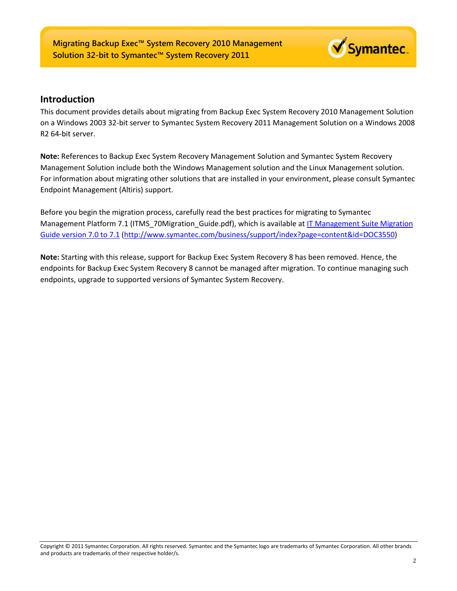

## <span id="page-1-0"></span>**Introduction**

This document provides details about migrating from Backup Exec System Recovery 2010 Management Solution on a Windows 2003 32-bit server to Symantec System Recovery 2011 Management Solution on a Windows 2008 R2 64-bit server.

**Note:** References to Backup Exec System Recovery Management Solution and Symantec System Recovery Management Solution include both the Windows Management solution and the Linux Management solution. For information about migrating other solutions that are installed in your environment, please consult Symantec Endpoint Management (Altiris) support.

Before you begin the migration process, carefully read the best practices for migrating to Symantec Management Platform 7.1 (ITMS\_70Migration\_Guide.pdf), which is available at IT Management Suite Migration [Guide version 7.0 to 7.1](http://www.symantec.com/docs/DOC3550) [\(http://www.symantec.com/business/support/index?page=content&id=DOC3550\)](http://www.symantec.com/business/support/index?page=content&id=DOC3550)

**Note:** Starting with this release, support for Backup Exec System Recovery 8 has been removed. Hence, the endpoints for Backup Exec System Recovery 8 cannot be managed after migration. To continue managing such endpoints, upgrade to supported versions of Symantec System Recovery.

Copyright © 2011 Symantec Corporation. All rights reserved. Symantec and the Symantec logo are trademarks of Symantec Corporation. All other brands and products are trademarks of their respective holder/s.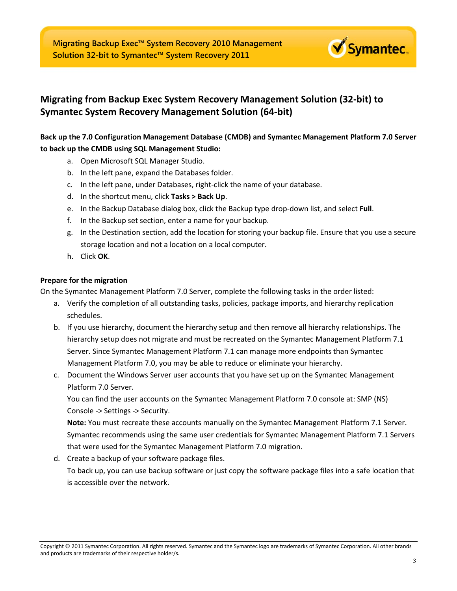

# <span id="page-2-0"></span>**Migrating from Backup Exec System Recovery Management Solution (32-bit) to Symantec System Recovery Management Solution (64-bit)**

## <span id="page-2-1"></span>**Back up the 7.0 Configuration Management Database (CMDB) and Symantec Management Platform 7.0 Server to back up the CMDB using SQL Management Studio:**

a. Open Microsoft SQL Manager Studio.

- b. In the left pane, expand the Databases folder.
- c. In the left pane, under Databases, right-click the name of your database.
- d. In the shortcut menu, click **Tasks > Back Up**.
- e. In the Backup Database dialog box, click the Backup type drop-down list, and select **Full**.
- f. In the Backup set section, enter a name for your backup.
- g. In the Destination section, add the location for storing your backup file. Ensure that you use a secure storage location and not a location on a local computer.
- h. Click **OK**.

## <span id="page-2-2"></span>**Prepare for the migration**

On the Symantec Management Platform 7.0 Server, complete the following tasks in the order listed:

- a. Verify the completion of all outstanding tasks, policies, package imports, and hierarchy replication schedules.
- b. If you use hierarchy, document the hierarchy setup and then remove all hierarchy relationships. The hierarchy setup does not migrate and must be recreated on the Symantec Management Platform 7.1 Server. Since Symantec Management Platform 7.1 can manage more endpoints than Symantec Management Platform 7.0, you may be able to reduce or eliminate your hierarchy.
- c. Document the Windows Server user accounts that you have set up on the Symantec Management Platform 7.0 Server.

You can find the user accounts on the Symantec Management Platform 7.0 console at: SMP (NS) Console -> Settings -> Security.

**Note:** You must recreate these accounts manually on the Symantec Management Platform 7.1 Server. Symantec recommends using the same user credentials for Symantec Management Platform 7.1 Servers that were used for the Symantec Management Platform 7.0 migration.

d. Create a backup of your software package files.

To back up, you can use backup software or just copy the software package files into a safe location that is accessible over the network.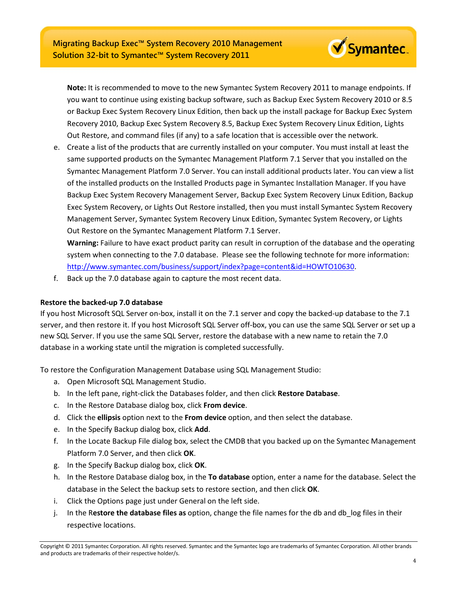**Note:** It is recommended to move to the new Symantec System Recovery 2011 to manage endpoints. If you want to continue using existing backup software, such as Backup Exec System Recovery 2010 or 8.5 or Backup Exec System Recovery Linux Edition, then back up the install package for Backup Exec System Recovery 2010, Backup Exec System Recovery 8.5, Backup Exec System Recovery Linux Edition, Lights Out Restore, and command files (if any) to a safe location that is accessible over the network.

Symantec.

e. Create a list of the products that are currently installed on your computer. You must install at least the same supported products on the Symantec Management Platform 7.1 Server that you installed on the Symantec Management Platform 7.0 Server. You can install additional products later. You can view a list of the installed products on the Installed Products page in Symantec Installation Manager. If you have Backup Exec System Recovery Management Server, Backup Exec System Recovery Linux Edition, Backup Exec System Recovery, or Lights Out Restore installed, then you must install Symantec System Recovery Management Server, Symantec System Recovery Linux Edition, Symantec System Recovery, or Lights Out Restore on the Symantec Management Platform 7.1 Server.

**Warning:** Failure to have exact product parity can result in corruption of the database and the operating system when connecting to the 7.0 database. Please see the following technote for more information: [http://www.symantec.com/business/support/index?page=content&id=HOWTO10630.](http://www.symantec.com/business/support/index?page=content&id=HOWTO10630)

f. Back up the 7.0 database again to capture the most recent data.

## <span id="page-3-0"></span>**Restore the backed-up 7.0 database**

If you host Microsoft SQL Server on-box, install it on the 7.1 server and copy the backed-up database to the 7.1 server, and then restore it. If you host Microsoft SQL Server off-box, you can use the same SQL Server or set up a new SQL Server. If you use the same SQL Server, restore the database with a new name to retain the 7.0 database in a working state until the migration is completed successfully.

To restore the Configuration Management Database using SQL Management Studio:

- a. Open Microsoft SQL Management Studio.
- b. In the left pane, right-click the Databases folder, and then click **Restore Database**.
- c. In the Restore Database dialog box, click **From device**.
- d. Click the **ellipsis** option next to the **From device** option, and then select the database.
- e. In the Specify Backup dialog box, click **Add**.
- f. In the Locate Backup File dialog box, select the CMDB that you backed up on the Symantec Management Platform 7.0 Server, and then click **OK**.
- g. In the Specify Backup dialog box, click **OK**.
- h. In the Restore Database dialog box, in the **To database** option, enter a name for the database. Select the database in the Select the backup sets to restore section, and then click **OK**.
- i. Click the Options page just under General on the left side.
- j. In the R**estore the database files as** option, change the file names for the db and db\_log files in their respective locations.

Copyright © 2011 Symantec Corporation. All rights reserved. Symantec and the Symantec logo are trademarks of Symantec Corporation. All other brands and products are trademarks of their respective holder/s.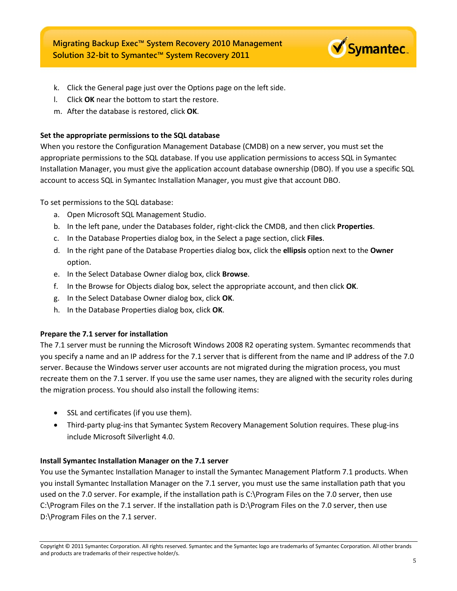

- k. Click the General page just over the Options page on the left side.
- l. Click **OK** near the bottom to start the restore.
- m. After the database is restored, click **OK**.

## <span id="page-4-0"></span>**Set the appropriate permissions to the SQL database**

When you restore the Configuration Management Database (CMDB) on a new server, you must set the appropriate permissions to the SQL database. If you use application permissions to access SQL in Symantec Installation Manager, you must give the application account database ownership (DBO). If you use a specific SQL account to access SQL in Symantec Installation Manager, you must give that account DBO.

To set permissions to the SQL database:

- a. Open Microsoft SQL Management Studio.
- b. In the left pane, under the Databases folder, right-click the CMDB, and then click **Properties**.
- c. In the Database Properties dialog box, in the Select a page section, click **Files**.
- d. In the right pane of the Database Properties dialog box, click the **ellipsis** option next to the **Owner** option.
- e. In the Select Database Owner dialog box, click **Browse**.
- f. In the Browse for Objects dialog box, select the appropriate account, and then click **OK**.
- g. In the Select Database Owner dialog box, click **OK**.
- h. In the Database Properties dialog box, click **OK**.

## <span id="page-4-1"></span>**Prepare the 7.1 server for installation**

The 7.1 server must be running the Microsoft Windows 2008 R2 operating system. Symantec recommends that you specify a name and an IP address for the 7.1 server that is different from the name and IP address of the 7.0 server. Because the Windows server user accounts are not migrated during the migration process, you must recreate them on the 7.1 server. If you use the same user names, they are aligned with the security roles during the migration process. You should also install the following items:

- SSL and certificates (if you use them).
- Third-party plug-ins that Symantec System Recovery Management Solution requires. These plug-ins include Microsoft Silverlight 4.0.

## <span id="page-4-2"></span>**Install Symantec Installation Manager on the 7.1 server**

You use the Symantec Installation Manager to install the Symantec Management Platform 7.1 products. When you install Symantec Installation Manager on the 7.1 server, you must use the same installation path that you used on the 7.0 server. For example, if the installation path is C:\Program Files on the 7.0 server, then use C:\Program Files on the 7.1 server. If the installation path is D:\Program Files on the 7.0 server, then use D:\Program Files on the 7.1 server.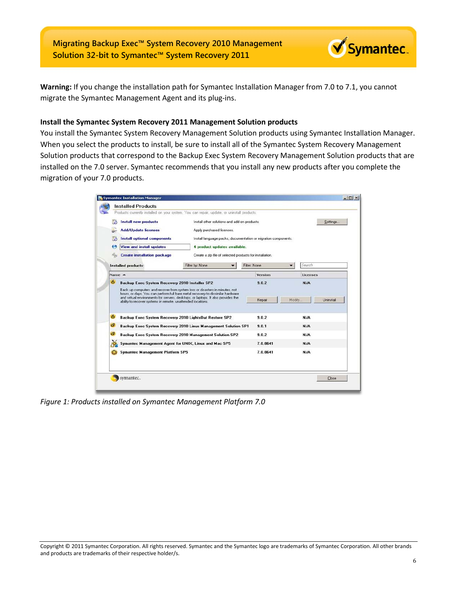

**Warning:** If you change the installation path for Symantec Installation Manager from 7.0 to 7.1, you cannot migrate the Symantec Management Agent and its plug-ins.

#### <span id="page-5-0"></span>**Install the Symantec System Recovery 2011 Management Solution products**

You install the Symantec System Recovery Management Solution products using Symantec Installation Manager. When you select the products to install, be sure to install all of the Symantec System Recovery Management Solution products that correspond to the Backup Exec System Recovery Management Solution products that are installed on the 7.0 server. Symantec recommends that you install any new products after you complete the migration of your 7.0 products.

|                                                                 | <b>Install new products</b>                                                                                                                                                                                                                                                                                       | Install other solutions and add-on products.             |                                                                |              |        |          | Settings  |
|-----------------------------------------------------------------|-------------------------------------------------------------------------------------------------------------------------------------------------------------------------------------------------------------------------------------------------------------------------------------------------------------------|----------------------------------------------------------|----------------------------------------------------------------|--------------|--------|----------|-----------|
|                                                                 | <b>Add/Update licenses</b>                                                                                                                                                                                                                                                                                        | Apply purchased licenses.                                |                                                                |              |        |          |           |
|                                                                 | <b>Install optional components</b>                                                                                                                                                                                                                                                                                |                                                          | Install language packs, documentation or migration components. |              |        |          |           |
| <b>View and install updates</b><br>4 product updates available. |                                                                                                                                                                                                                                                                                                                   |                                                          |                                                                |              |        |          |           |
|                                                                 | <b>Create installation package</b>                                                                                                                                                                                                                                                                                | Create a zip file of selected products for installation. |                                                                |              |        |          |           |
|                                                                 | Installed products:                                                                                                                                                                                                                                                                                               | Filter by: None                                          |                                                                | Filter: None |        | Search   |           |
| Name A                                                          |                                                                                                                                                                                                                                                                                                                   |                                                          |                                                                | Version      |        | Licenses |           |
|                                                                 | <b>Backup Exec System Recovery 2010 Installer SP2</b>                                                                                                                                                                                                                                                             |                                                          |                                                                | 902          |        | N/A      |           |
|                                                                 | Back up computers and recover from system loss or disasters in minutes, not<br>hours, or days. You can perform full bare metal recovery to dissimilar hardware<br>and virtual environments for servers, desktops, or laptops. It also provides the<br>ability to recover systems in remote, unattended locations. |                                                          |                                                                | Repair       | Modify |          | Uninstall |
| ۵                                                               | Backup Exec System Recovery 2010 LightsOut Restore SP2                                                                                                                                                                                                                                                            |                                                          |                                                                | 9.0.2        |        | N/A      |           |
| σ                                                               | Backup Exec System Recovery 2010 Linux Management Solution SP1                                                                                                                                                                                                                                                    |                                                          |                                                                | 9.0.1        |        | N/A      |           |
| c                                                               | Backup Exec System Recovery 2010 Management Solution SP2                                                                                                                                                                                                                                                          |                                                          |                                                                | 9.0.2        |        | N/A      |           |
|                                                                 | Symantec Management Agent for UNIX, Linux and Mac SP5                                                                                                                                                                                                                                                             |                                                          |                                                                | 7.0.8641     |        | N/A      |           |

*Figure 1: Products installed on Symantec Management Platform 7.0*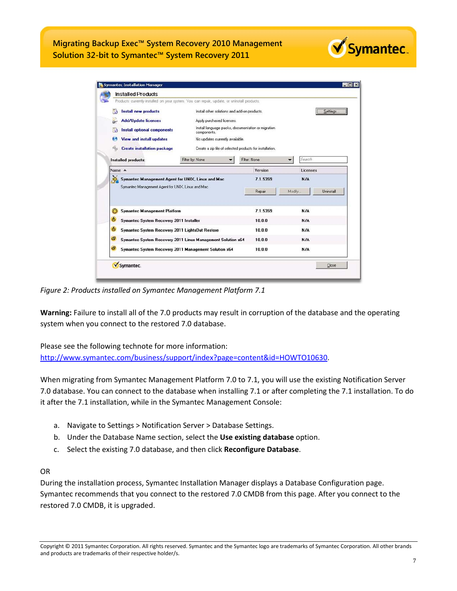|                                                                 | Products currently installed on your system. You can repair, update, or uninstall products. |                |                     |
|-----------------------------------------------------------------|---------------------------------------------------------------------------------------------|----------------|---------------------|
| <b>Install new products</b>                                     | Install other solutions and add-on products.                                                |                | Settings            |
| <b>Add/Update licenses</b>                                      | Apply purchased licenses.                                                                   |                |                     |
| <b>Install optional components</b>                              | Install language packs, documentation or migration<br>components.                           |                |                     |
| <b>View and install updates</b>                                 | No updates currently available.                                                             |                |                     |
| <b>Create installation package</b>                              | Create a zip file of selected products for installation.                                    |                |                     |
| Installed products:                                             | Filter by: None                                                                             | Filter: None   | Search<br>▼         |
| Name $\triangle$                                                |                                                                                             | <b>Version</b> | Licenses            |
| 倶                                                               | Symantec Management Agent for UNIX, Linux and Mac                                           | 7.1.5359       | N/A                 |
| Symantec Management Agent for UNIX, Linux and Mac.              |                                                                                             | Repair         | Uninstall<br>Modifu |
| <b>Symantec Management Platform</b><br>ℒ                        |                                                                                             | 7.1.5359       | N/A                 |
| ė<br>Symantec System Recovery 2011 Installer                    |                                                                                             | 10.0.0         | N/A                 |
| ė<br>Symantec System Recovery 2011 LightsOut Restore            |                                                                                             | 10.0.0         | N/A                 |
|                                                                 | Symantec System Recovery 2011 Linux Management Solution x64                                 | 10.0.0         | N/A                 |
|                                                                 |                                                                                             | 10.0.0         | N/A                 |
| d<br>d<br>Symantec System Recovery 2011 Management Solution x64 |                                                                                             |                |                     |

*Figure 2: Products installed on Symantec Management Platform 7.1*

**Warning:** Failure to install all of the 7.0 products may result in corruption of the database and the operating system when you connect to the restored 7.0 database.

Please see the following technote for more information: [http://www.symantec.com/business/support/index?page=content&id=HOWTO10630.](http://www.symantec.com/business/support/index?page=content&id=HOWTO10630)

When migrating from Symantec Management Platform 7.0 to 7.1, you will use the existing Notification Server 7.0 database. You can connect to the database when installing 7.1 or after completing the 7.1 installation. To do it after the 7.1 installation, while in the Symantec Management Console:

- a. Navigate to Settings > Notification Server > Database Settings.
- b. Under the Database Name section, select the **Use existing database** option.
- c. Select the existing 7.0 database, and then click **Reconfigure Database**.

## OR

During the installation process, Symantec Installation Manager displays a Database Configuration page. Symantec recommends that you connect to the restored 7.0 CMDB from this page. After you connect to the restored 7.0 CMDB, it is upgraded.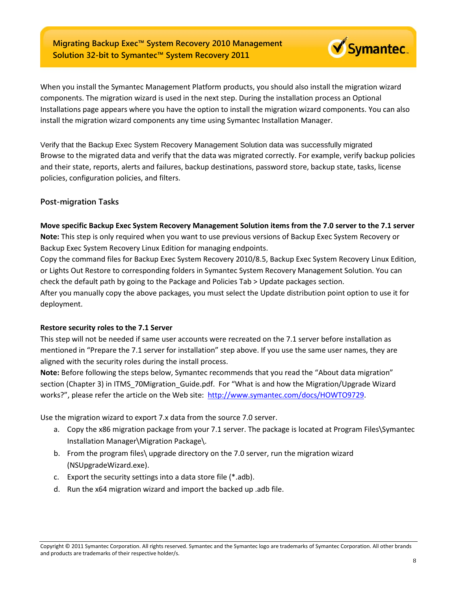

<span id="page-7-0"></span>Verify that the Backup Exec System Recovery Management Solution data was successfully migrated Browse to the migrated data and verify that the data was migrated correctly. For example, verify backup policies and their state, reports, alerts and failures, backup destinations, password store, backup state, tasks, license policies, configuration policies, and filters.

## <span id="page-7-2"></span><span id="page-7-1"></span>**Post-migration Tasks**

#### **Move specific Backup Exec System Recovery Management Solution items from the 7.0 server to the 7.1 server**

**Note:** This step is only required when you want to use previous versions of Backup Exec System Recovery or Backup Exec System Recovery Linux Edition for managing endpoints.

Copy the command files for Backup Exec System Recovery 2010/8.5, Backup Exec System Recovery Linux Edition, or Lights Out Restore to corresponding folders in Symantec System Recovery Management Solution. You can check the default path by going to the Package and Policies Tab > Update packages section.

After you manually copy the above packages, you must select the Update distribution point option to use it for deployment.

## <span id="page-7-3"></span>**Restore security roles to the 7.1 Server**

This step will not be needed if same user accounts were recreated on the 7.1 server before installation as mentioned in "Prepare the 7.1 server for installation" step above. If you use the same user names, they are aligned with the security roles during the install process.

**Note:** Before following the steps below, Symantec recommends that you read the "About data migration" section (Chapter 3) in ITMS 70Migration Guide.pdf. For "What is and how the Migration/Upgrade Wizard works?", please refer the article on the Web site: [http://www.symantec.com/docs/HOWTO9729.](http://www.symantec.com/docs/HOWTO9729)

Use the migration wizard to export 7.x data from the source 7.0 server.

- a. Copy the x86 migration package from your 7.1 server. The package is located at Program Files\Symantec Installation Manager\Migration Package\.
- b. From the program files\ upgrade directory on the 7.0 server, run the migration wizard (NSUpgradeWizard.exe).
- c. Export the security settings into a data store file (\*.adb).
- d. Run the x64 migration wizard and import the backed up .adb file.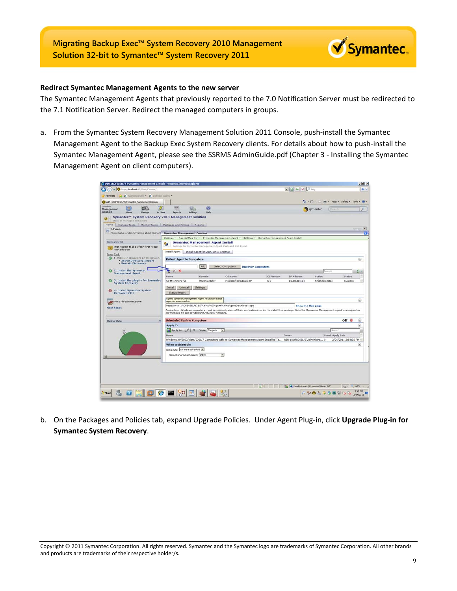<span id="page-8-0"></span>

The Symantec Management Agents that previously reported to the 7.0 Notification Server must be redirected to the 7.1 Notification Server. Redirect the managed computers in groups.

a. From the Symantec System Recovery Management Solution 2011 Console, push-install the Symantec Management Agent to the Backup Exec System Recovery clients. For details about how to push-install the Symantec Management Agent, please see the SSRMS AdminGuide.pdf (Chapter 3 - Installing the Symantec Management Agent on client computers).

|                                                                     | /2 WIN-1ROFB05ELFS Symantec Management Console - Windows Internet Explorer |                                          |                                                                                                                                                             |            |                                                      |                                              |                       | $-16$ $\times$ |
|---------------------------------------------------------------------|----------------------------------------------------------------------------|------------------------------------------|-------------------------------------------------------------------------------------------------------------------------------------------------------------|------------|------------------------------------------------------|----------------------------------------------|-----------------------|----------------|
| ttp:// <b>localhost</b> :85/Altinis/Console.i                       |                                                                            |                                          |                                                                                                                                                             |            | $\mathbb{E}$ $\Theta$ $\rightarrow$ $\times$ $P$ and |                                              |                       | ، م            |
| Tel: C Buggested Sites C Web Slice Gallery<br>Favorites             |                                                                            |                                          |                                                                                                                                                             |            |                                                      |                                              |                       |                |
| WIN-IROFBOSELPS Symantec Management Console                         |                                                                            |                                          |                                                                                                                                                             |            |                                                      | 1 - [ - [ - mil - Page - Safety - Tools - 27 |                       |                |
| Dymantec                                                            | $\Rightarrow$                                                              |                                          |                                                                                                                                                             |            |                                                      |                                              |                       |                |
| 73<br>Ť<br>Management<br>Console<br>Actions<br><b>Manana</b>        | 寇<br>Settings<br>Reports                                                   | $\bullet$<br><b>Help</b>                 |                                                                                                                                                             |            |                                                      | symantec.<br><b>Same</b>                     |                       |                |
| Symantec™ System Recovery 2011 Management Solution                  |                                                                            |                                          |                                                                                                                                                             |            |                                                      |                                              |                       |                |
| State of managed computers                                          |                                                                            |                                          |                                                                                                                                                             |            |                                                      |                                              |                       |                |
| Home:<br>Manage Tasks Monitor Tasks                                 | Packages and Policies Reports                                              |                                          |                                                                                                                                                             |            |                                                      |                                              |                       |                |
| Home<br>圓                                                           |                                                                            |                                          |                                                                                                                                                             |            |                                                      |                                              |                       | <b>Final</b>   |
| View status and information about Symant                            | <b>Symantec Management Console</b>                                         |                                          |                                                                                                                                                             |            |                                                      |                                              |                       |                |
| <b>Getting Started</b>                                              |                                                                            |                                          | Settings - Agents/Plug-ins - Symantec Management Agent - Settings - Symantec Management Agent Install                                                       |            |                                                      |                                              |                       |                |
| Run these tasks after first-time                                    |                                                                            | <b>Symantec Management Agent Install</b> | Settings for Symantec Management Agent Push and Pull Install                                                                                                |            |                                                      |                                              |                       |                |
| installation                                                        | <b>Install Agent</b>                                                       | Install Agent for UNIX, Linux and Mac.   |                                                                                                                                                             |            |                                                      |                                              |                       |                |
| Done Task                                                           |                                                                            |                                          |                                                                                                                                                             |            |                                                      |                                              |                       |                |
| 2 1. Discover computers on the network<br>. Active Directory Import | <b>Rollout Agent to Computers</b>                                          |                                          |                                                                                                                                                             |            |                                                      |                                              |                       | $\omega$       |
| . Domain Discovery                                                  |                                                                            | Add                                      | Select Computers                                                                                                                                            |            |                                                      |                                              |                       |                |
| 2. Install the Symantec                                             | ъ<br>$\times$                                                              |                                          | <b>Discover Computers</b>                                                                                                                                   |            |                                                      | Cearch                                       |                       |                |
| <b>Management Agent</b>                                             | Name                                                                       | Domain                                   | <b>OS Name</b>                                                                                                                                              | OS Version | <b>IP Address</b>                                    | Action                                       | Status                |                |
| 3. Install the plug-in for Symanted<br>$\circ$                      | K3-M4-XPSP3-V6                                                             | WORKGROUP                                | Microsoft Windows XP                                                                                                                                        | 5.1        | 10.30.30.134                                         | Finished Install                             | Success               |                |
| <b>System Recovery</b>                                              |                                                                            |                                          |                                                                                                                                                             |            |                                                      |                                              |                       |                |
| 4. Install Symantec System<br>突                                     | Install<br>Uninstall                                                       | Settings                                 |                                                                                                                                                             |            |                                                      |                                              |                       |                |
| Recovery 2011                                                       | <b>Status Report</b>                                                       |                                          |                                                                                                                                                             |            |                                                      |                                              |                       |                |
|                                                                     | Opens 'Symantec Management Agent installation status'                      |                                          |                                                                                                                                                             |            |                                                      |                                              |                       | $\omega$       |
| <b>Find documentation</b>                                           | report in a new window                                                     |                                          | http://WIN-1ROFB05ELFS:85/Altinis/NS/Agent/AltinisAgentDownload.aspx                                                                                        |            |                                                      |                                              |                       |                |
| <b>Next Steps</b>                                                   |                                                                            |                                          | Accounts on Windows computers must be administrators of their computers in order to install this package. Note the Symantec Management agent is unsupported |            | Show me this page                                    |                                              |                       |                |
|                                                                     | on Windows NT and Windows 95/98/2000 versions.                             |                                          |                                                                                                                                                             |            |                                                      |                                              |                       |                |
|                                                                     | <b>Scheduled Push to Computers</b>                                         |                                          |                                                                                                                                                             |            |                                                      |                                              | $_{\rm off}$ $\alpha$ | ۵              |
| <b>Baclop Status</b>                                                | <b>Apply To</b>                                                            |                                          |                                                                                                                                                             |            |                                                      |                                              |                       | ⊛              |
|                                                                     | Apply to - / X Views Targets                                               |                                          | $\overline{\phantom{a}}$                                                                                                                                    |            |                                                      | Search                                       |                       |                |
|                                                                     | Name                                                                       |                                          |                                                                                                                                                             |            | Owner                                                |                                              |                       |                |
|                                                                     |                                                                            |                                          | Windows XP/2003/Vista/2008/7 Computers with no Symantec Management Agent Installed Ta WIN-1ROFB05ELFSVAdministra 0                                          |            |                                                      | Count Apply date                             | 2/24/2011 2:54:35 PM  |                |
|                                                                     | When to Schedule                                                           |                                          |                                                                                                                                                             |            |                                                      |                                              |                       | ⊛              |
|                                                                     | Schedule: Shared schedule                                                  |                                          |                                                                                                                                                             |            |                                                      |                                              |                       |                |
|                                                                     |                                                                            |                                          | ×                                                                                                                                                           |            |                                                      |                                              |                       |                |
|                                                                     | Select shared schedule: Daily                                              |                                          |                                                                                                                                                             |            |                                                      |                                              |                       |                |

b. On the Packages and Policies tab, expand Upgrade Policies. Under Agent Plug-in, click **Upgrade Plug-in for Symantec System Recovery**.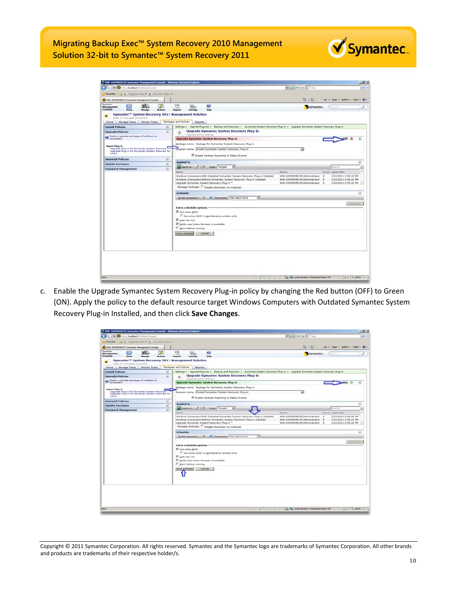| C WIN-1ROFB05ELFS Symantec Management Console - Windows Internet Explorer                                                |                   |                                                                                                                                                                                                                                                         |                                                                                                     |                                                                                  | $-10x$                       |
|--------------------------------------------------------------------------------------------------------------------------|-------------------|---------------------------------------------------------------------------------------------------------------------------------------------------------------------------------------------------------------------------------------------------------|-----------------------------------------------------------------------------------------------------|----------------------------------------------------------------------------------|------------------------------|
| + O http://localhost.65/Altris/Console/<br>œ.                                                                            |                   |                                                                                                                                                                                                                                                         | $\Box$ $\Box$ 4 $\times$ $P$ and                                                                    |                                                                                  | $\mathbf{p}$ .               |
| (B) Supported Sites (B) Web Skir Gallery<br>Favorites                                                                    |                   |                                                                                                                                                                                                                                                         |                                                                                                     |                                                                                  |                              |
| VIN-1ROFB05ELF5 Symantec Management Console                                                                              |                   |                                                                                                                                                                                                                                                         |                                                                                                     | To - [] - [] let - Bage - Safety - Tools - (2) -                                 |                              |
| Symantec<br>m<br>ER.<br>Management<br>Console                                                                            | <b>Actions</b>    | ⊌<br>Hele<br>Settings<br><b>Reports</b>                                                                                                                                                                                                                 |                                                                                                     | symantec.                                                                        | ø                            |
| Symantec™ System Recovery 2011 Management Solution<br>State of managed computers<br>Home Manage Tasks Monitor Tasks      |                   | Packages and Policies<br>Reports                                                                                                                                                                                                                        |                                                                                                     |                                                                                  |                              |
| <b>Install Policies</b>                                                                                                  | $\circ$           | Settings - Agents/Plug-ins - Backup and Recovery - Symantec System Recovery Plug-in - Upgrade Symantec System Recovery Plug-in                                                                                                                          |                                                                                                     |                                                                                  |                              |
| <b>Upgrade Policies</b>                                                                                                  | $\circ$           | <b>Upgrade Symantec System Recovery Plug-in</b><br>ø                                                                                                                                                                                                    |                                                                                                     |                                                                                  |                              |
| O Deploy upgrade packages of software to                                                                                 |                   | Upgrade policy settings<br><b>Upgrade Symantec System Recovery Plug-in</b>                                                                                                                                                                              |                                                                                                     |                                                                                  |                              |
|                                                                                                                          |                   | Package name: Package for Symantec System Recovery Plug-in                                                                                                                                                                                              |                                                                                                     |                                                                                  |                              |
| <b>Agent Plug-in</b><br>Upgrade Plug-in for Symantec System Recovery<br>Upgrade Plug-in for Symantec System Recovery for |                   | Program name: Install Symantec System Recovery Plug-in                                                                                                                                                                                                  | ×                                                                                                   |                                                                                  |                              |
| Linux                                                                                                                    |                   | M Enable Verbose Reporting of Status Events                                                                                                                                                                                                             |                                                                                                     |                                                                                  |                              |
| <b>Uninstall Policies</b>                                                                                                | $\circ$           | <b>Applied to</b>                                                                                                                                                                                                                                       |                                                                                                     |                                                                                  | ۵                            |
| <b>Update Packages</b>                                                                                                   | $\omega$          | Apply to - / X Views Targets<br>$\bullet$                                                                                                                                                                                                               |                                                                                                     | Search                                                                           |                              |
| <b>Password Management</b>                                                                                               | $\left( x\right)$ | Name                                                                                                                                                                                                                                                    | Owner                                                                                               | Count Apply date                                                                 |                              |
|                                                                                                                          |                   | Windows Computers With Outdated Symantec System Recovery Plug-in Installed<br>Windows Computers Without Symantec System Recovery Plug-in Installed<br>Upgrade Symantec System Recovery Plug-in *<br>Package Multicast: [ Disable download via multicast | WIN-1ROFB05ELFS\Administrator<br>WIN-1ROFB0SELFS\Administrator 0<br>WIN-1ROFB0SELFS\Administrator 0 | 2/24/2011 2:55:22 PM<br>$\Omega$<br>2/24/2011 2:55:22 PM<br>2/24/2011 2:55:22 PM |                              |
|                                                                                                                          |                   | <b>Schedule</b>                                                                                                                                                                                                                                         |                                                                                                     |                                                                                  | ⊛                            |
|                                                                                                                          |                   | Add schedule - X & Time zone: Use agent time<br>×                                                                                                                                                                                                       |                                                                                                     |                                                                                  |                              |
|                                                                                                                          |                   |                                                                                                                                                                                                                                                         |                                                                                                     |                                                                                  | Advanced                     |
|                                                                                                                          |                   | <b>Extra schedule options</b>                                                                                                                                                                                                                           |                                                                                                     |                                                                                  |                              |
|                                                                                                                          |                   | Run once ASAP                                                                                                                                                                                                                                           |                                                                                                     |                                                                                  |                              |
|                                                                                                                          |                   | Run once ASAP in maintenance window only                                                                                                                                                                                                                |                                                                                                     |                                                                                  |                              |
|                                                                                                                          |                   | V User can run<br>My Notify user when the task is available                                                                                                                                                                                             |                                                                                                     |                                                                                  |                              |
|                                                                                                                          |                   | Warn before running                                                                                                                                                                                                                                     |                                                                                                     |                                                                                  |                              |
|                                                                                                                          |                   | Save changes<br>Cancel                                                                                                                                                                                                                                  |                                                                                                     |                                                                                  |                              |
|                                                                                                                          |                   |                                                                                                                                                                                                                                                         |                                                                                                     |                                                                                  |                              |
|                                                                                                                          |                   |                                                                                                                                                                                                                                                         |                                                                                                     |                                                                                  |                              |
|                                                                                                                          |                   |                                                                                                                                                                                                                                                         |                                                                                                     |                                                                                  |                              |
|                                                                                                                          |                   |                                                                                                                                                                                                                                                         |                                                                                                     |                                                                                  |                              |
|                                                                                                                          |                   |                                                                                                                                                                                                                                                         |                                                                                                     |                                                                                  |                              |
|                                                                                                                          |                   |                                                                                                                                                                                                                                                         |                                                                                                     |                                                                                  |                              |
|                                                                                                                          |                   |                                                                                                                                                                                                                                                         |                                                                                                     |                                                                                  |                              |
|                                                                                                                          |                   |                                                                                                                                                                                                                                                         |                                                                                                     |                                                                                  |                              |
|                                                                                                                          |                   |                                                                                                                                                                                                                                                         |                                                                                                     |                                                                                  |                              |
| Done                                                                                                                     |                   | $\blacksquare$ $\blacksquare$ $\blacksquare$ $\blacksquare$ $\blacksquare$                                                                                                                                                                              | No. 1 Local intranet   Protected Mode: Off                                                          |                                                                                  | $_4$ + $+$ 100%<br>$\bullet$ |

c. Enable the Upgrade Symantec System Recovery Plug-in policy by changing the Red button (OFF) to Green (ON). Apply the policy to the default resource target Windows Computers with Outdated Symantec System Recovery Plug-in Installed, and then click **Save Changes**.

| WIN-1ROFBOSELFS Symantec Management Console - Windows Internet Explorer                          |                |                                                                                                                                |                                                         |                  | $-10x$                                      |
|--------------------------------------------------------------------------------------------------|----------------|--------------------------------------------------------------------------------------------------------------------------------|---------------------------------------------------------|------------------|---------------------------------------------|
| Cavic y O Mtp://localhost.95/Aftris/Console/                                                     |                |                                                                                                                                | $\mathbb{E}[\mathbb{R}]{\rightarrow} \times \mathbb{R}$ |                  | - م                                         |
| Pavorites (2 0 Supported Stas. 2 0 WaterScore Cubery 1)                                          |                |                                                                                                                                |                                                         |                  |                                             |
| WIN-SROFBOSELFS Symantec Management Console                                                      |                |                                                                                                                                |                                                         |                  | 4 - 5 - 1 mm - Bage - Safety - Tgols - 12 - |
| Dymantec<br>m<br>EO.                                                                             |                | 150<br>$\bullet$<br>92.                                                                                                        |                                                         |                  | D                                           |
| Management<br>Console<br><b>Manager</b>                                                          | <b>Actions</b> | Help<br>Settings<br><b>Reports</b>                                                                                             | symantec.                                               | Teach            |                                             |
| Symantec <sup>1</sup> System Recovery 2011 Management Solution                                   |                |                                                                                                                                |                                                         |                  |                                             |
| State of managed computers<br>Home Manage Tasks Monitor Tasks                                    |                | Packages and Policies<br>Reports                                                                                               |                                                         |                  |                                             |
| <b>Install Policies</b>                                                                          | $\circ$        | Settings + Agents/Plug-ins + Backup and Recovery + Symantec System Recovery Plug-in + Upgrade Symantec System Recovery Plug-in |                                                         |                  |                                             |
| <b>Upgrade Policies</b>                                                                          | ۵              | <b>Upgrade Symantec System Recovery Plug-in</b>                                                                                |                                                         |                  |                                             |
|                                                                                                  |                | Upgrade policy settings                                                                                                        |                                                         |                  |                                             |
| O Deploy upgrade packages of software to                                                         |                | <b>Upgrade Symantec System Recovery Plug-in</b>                                                                                |                                                         |                  | On                                          |
| <b>Agent Plug-in</b>                                                                             |                | Backage name: Package for Symantec System Recovery Plug-in                                                                     |                                                         |                  |                                             |
| Upgrade Plugrin for Symantec System Recovery<br>Upgrade Plug-in for Symantec System Recovery for |                | Program name: Install Symantec System Recovery Plug-in                                                                         | ×                                                       |                  |                                             |
| <b>Linux</b>                                                                                     |                | R. Enable Verbose Reporting of Status Events                                                                                   |                                                         |                  |                                             |
| <b>Uninstall Policies</b>                                                                        | UD.            | <b>Applied to</b>                                                                                                              |                                                         |                  |                                             |
| <b>Update Packages</b>                                                                           | $\circ$        | Apply to - O   X Views Targets<br>$\blacksquare$                                                                               |                                                         | Search           |                                             |
| <b>Password Management</b>                                                                       | $\omega$       | <b>Number</b>                                                                                                                  | <b>Dwner</b>                                            | Count Apply date |                                             |
|                                                                                                  |                | Windows Computers With Outdated Symantec System Recovery Plug-in Installed                                                     | WIN-1ROFB05ELF5\Administrator                           | $\alpha$         | 2/24/2011 2:55:22 PM                        |
|                                                                                                  |                | Windows Computers Without Symantec System Recovery Plug-in Installed                                                           | WIN-1ROF805ELFS\Administrator                           | $\alpha$         | 2/24/2011 2:55:22 PM                        |
|                                                                                                  |                | Upgrade Symantec System Recovery Plug-in *                                                                                     | WIN-1ROFB05ELFS\Administrator 0                         |                  | 2/24/2011 2:55:22 PM                        |
|                                                                                                  |                | Package Multicast: [ Disable download via multicast                                                                            |                                                         |                  |                                             |
|                                                                                                  |                | <b>Schedule</b>                                                                                                                |                                                         |                  | $\circledcirc$                              |
|                                                                                                  |                | œ.<br>Add schedule - X K Time zone: Use agent time                                                                             |                                                         |                  |                                             |
|                                                                                                  |                |                                                                                                                                |                                                         |                  | Advanced                                    |
|                                                                                                  |                | <b>Extra schedule options</b>                                                                                                  |                                                         |                  |                                             |
|                                                                                                  |                | Run once ASAP<br>E Run once ASAP in maintenance window only                                                                    |                                                         |                  |                                             |
|                                                                                                  |                | User can run                                                                                                                   |                                                         |                  |                                             |
|                                                                                                  |                | M Notify user when the task is available                                                                                       |                                                         |                  |                                             |
|                                                                                                  |                | Warn before running                                                                                                            |                                                         |                  |                                             |
|                                                                                                  |                | Save changes<br>Cancel                                                                                                         |                                                         |                  |                                             |
|                                                                                                  |                |                                                                                                                                |                                                         |                  |                                             |
|                                                                                                  |                |                                                                                                                                |                                                         |                  |                                             |
|                                                                                                  |                |                                                                                                                                |                                                         |                  |                                             |
|                                                                                                  |                |                                                                                                                                |                                                         |                  |                                             |
|                                                                                                  |                |                                                                                                                                |                                                         |                  |                                             |
|                                                                                                  |                |                                                                                                                                |                                                         |                  |                                             |
|                                                                                                  |                |                                                                                                                                |                                                         |                  |                                             |
|                                                                                                  |                |                                                                                                                                |                                                         |                  |                                             |
| <b>Jone</b>                                                                                      |                |                                                                                                                                | <b>THE Real Internet   Protected Mode: Off</b>          |                  | $F_{\rm th} = \frac{1}{2}$ 100% .           |

Copyright © 2011 Symantec Corporation. All rights reserved. Symantec and the Symantec logo are trademarks of Symantec Corporation. All other brands and products are trademarks of their respective holder/s.